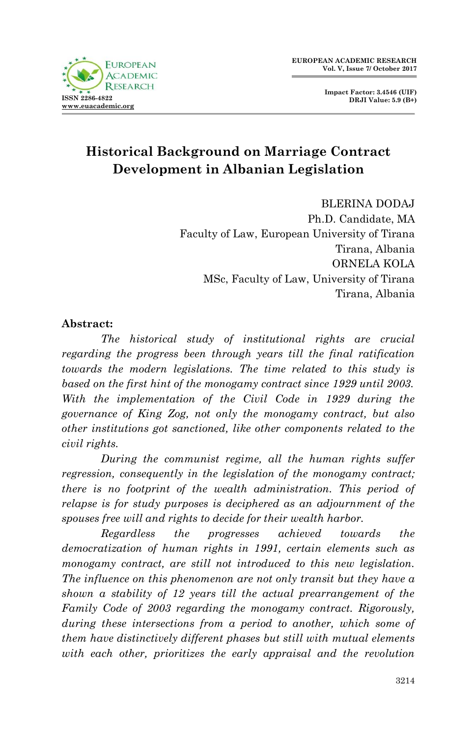

**Impact Factor: 3.4546 (UIF) DRJI Value: 5.9 (B+)**

# **Historical Background on Marriage Contract Development in Albanian Legislation**

BLERINA DODAJ Ph.D. Candidate, MA Faculty of Law, European University of Tirana Tirana, Albania ORNELA KOLA MSc, Faculty of Law, University of Tirana Tirana, Albania

#### **Abstract:**

*The historical study of institutional rights are crucial regarding the progress been through years till the final ratification towards the modern legislations. The time related to this study is based on the first hint of the monogamy contract since 1929 until 2003. With the implementation of the Civil Code in 1929 during the governance of King Zog, not only the monogamy contract, but also other institutions got sanctioned, like other components related to the civil rights.*

*During the communist regime, all the human rights suffer regression, consequently in the legislation of the monogamy contract; there is no footprint of the wealth administration. This period of relapse is for study purposes is deciphered as an adjournment of the spouses free will and rights to decide for their wealth harbor.* 

*Regardless the progresses achieved towards the democratization of human rights in 1991, certain elements such as monogamy contract, are still not introduced to this new legislation. The influence on this phenomenon are not only transit but they have a shown a stability of 12 years till the actual prearrangement of the Family Code of 2003 regarding the monogamy contract. Rigorously, during these intersections from a period to another, which some of them have distinctively different phases but still with mutual elements with each other, prioritizes the early appraisal and the revolution*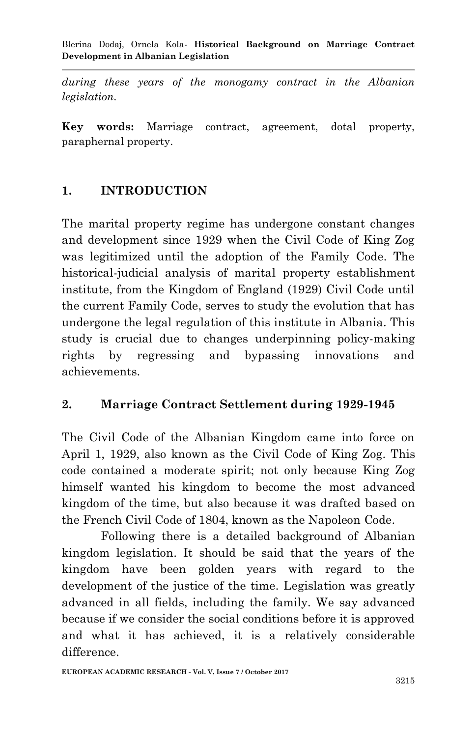*during these years of the monogamy contract in the Albanian legislation.* 

**Key words:** Marriage contract, agreement, dotal property, paraphernal property.

### **1. INTRODUCTION**

The marital property regime has undergone constant changes and development since 1929 when the Civil Code of King Zog was legitimized until the adoption of the Family Code. The historical-judicial analysis of marital property establishment institute, from the Kingdom of England (1929) Civil Code until the current Family Code, serves to study the evolution that has undergone the legal regulation of this institute in Albania. This study is crucial due to changes underpinning policy-making rights by regressing and bypassing innovations and achievements.

### **2. Marriage Contract Settlement during 1929-1945**

The Civil Code of the Albanian Kingdom came into force on April 1, 1929, also known as the Civil Code of King Zog. This code contained a moderate spirit; not only because King Zog himself wanted his kingdom to become the most advanced kingdom of the time, but also because it was drafted based on the French Civil Code of 1804, known as the Napoleon Code.

Following there is a detailed background of Albanian kingdom legislation. It should be said that the years of the kingdom have been golden years with regard to the development of the justice of the time. Legislation was greatly advanced in all fields, including the family. We say advanced because if we consider the social conditions before it is approved and what it has achieved, it is a relatively considerable difference.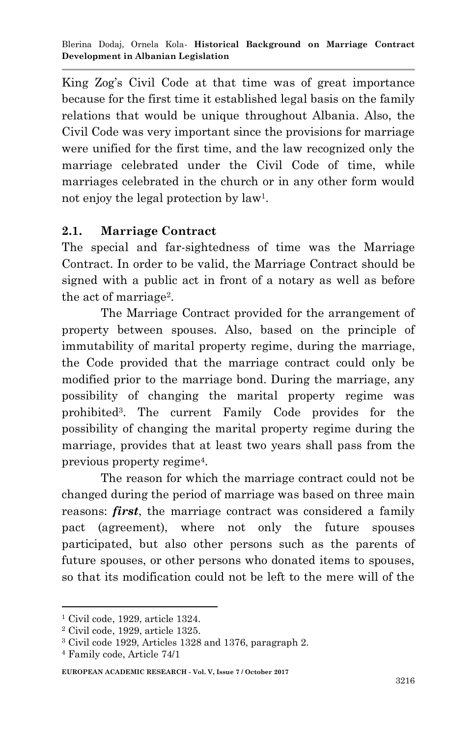King Zog's Civil Code at that time was of great importance because for the first time it established legal basis on the family relations that would be unique throughout Albania. Also, the Civil Code was very important since the provisions for marriage were unified for the first time, and the law recognized only the marriage celebrated under the Civil Code of time, while marriages celebrated in the church or in any other form would not enjoy the legal protection by law<sup>1</sup>.

### **2.1. Marriage Contract**

The special and far-sightedness of time was the Marriage Contract. In order to be valid, the Marriage Contract should be signed with a public act in front of a notary as well as before the act of marriage<sup>2</sup>.

The Marriage Contract provided for the arrangement of property between spouses. Also, based on the principle of immutability of marital property regime, during the marriage, the Code provided that the marriage contract could only be modified prior to the marriage bond. During the marriage, any possibility of changing the marital property regime was prohibited<sup>3</sup> . The current Family Code provides for the possibility of changing the marital property regime during the marriage, provides that at least two years shall pass from the previous property regime<sup>4</sup> .

The reason for which the marriage contract could not be changed during the period of marriage was based on three main reasons: *first*, the marriage contract was considered a family pact (agreement), where not only the future spouses participated, but also other persons such as the parents of future spouses, or other persons who donated items to spouses, so that its modification could not be left to the mere will of the

<sup>1</sup> Civil code, 1929, article 1324.

<sup>2</sup> Civil code, 1929, article 1325.

<sup>3</sup> Civil code 1929, Articles 1328 and 1376, paragraph 2.

<sup>4</sup> Family code, Article 74/1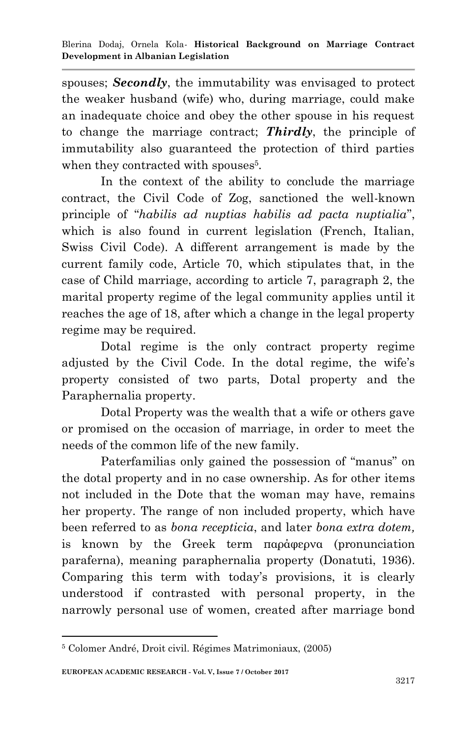spouses; *Secondly*, the immutability was envisaged to protect the weaker husband (wife) who, during marriage, could make an inadequate choice and obey the other spouse in his request to change the marriage contract; *Thirdly*, the principle of immutability also guaranteed the protection of third parties when they contracted with spouses<sup>5</sup>.

In the context of the ability to conclude the marriage contract, the Civil Code of Zog, sanctioned the well-known principle of "*habilis ad nuptias habilis ad pacta nuptialia*", which is also found in current legislation (French, Italian, Swiss Civil Code). A different arrangement is made by the current family code, Article 70, which stipulates that, in the case of Child marriage, according to article 7, paragraph 2, the marital property regime of the legal community applies until it reaches the age of 18, after which a change in the legal property regime may be required.

Dotal regime is the only contract property regime adjusted by the Civil Code. In the dotal regime, the wife's property consisted of two parts, Dotal property and the Paraphernalia property.

Dotal Property was the wealth that a wife or others gave or promised on the occasion of marriage, in order to meet the needs of the common life of the new family.

Paterfamilias only gained the possession of "manus" on the dotal property and in no case ownership. As for other items not included in the Dote that the woman may have, remains her property. The range of non included property, which have been referred to as *bona recepticia*, and later *bona extra dotem,* is known by the Greek term παράφερνα (pronunciation paraferna), meaning paraphernalia property (Donatuti, 1936). Comparing this term with today"s provisions, it is clearly understood if contrasted with personal property, in the narrowly personal use of women, created after marriage bond

<sup>5</sup> Colomer André, Droit civil. Régimes Matrimoniaux, (2005)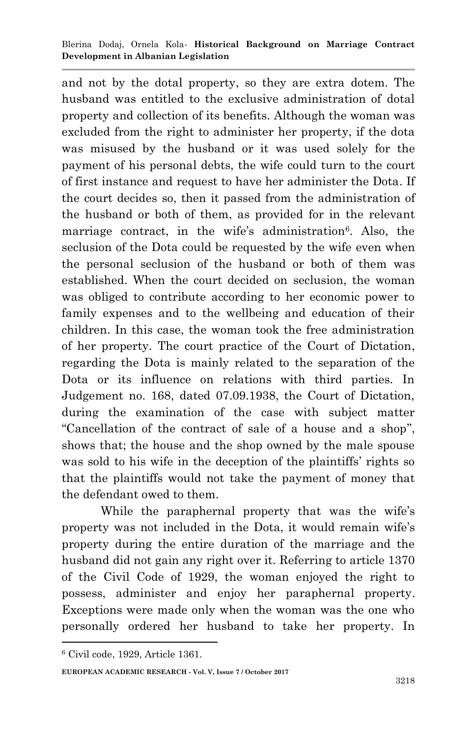and not by the dotal property, so they are extra dotem. The husband was entitled to the exclusive administration of dotal property and collection of its benefits. Although the woman was excluded from the right to administer her property, if the dota was misused by the husband or it was used solely for the payment of his personal debts, the wife could turn to the court of first instance and request to have her administer the Dota. If the court decides so, then it passed from the administration of the husband or both of them, as provided for in the relevant marriage contract, in the wife's administration<sup>6</sup>. Also, the seclusion of the Dota could be requested by the wife even when the personal seclusion of the husband or both of them was established. When the court decided on seclusion, the woman was obliged to contribute according to her economic power to family expenses and to the wellbeing and education of their children. In this case, the woman took the free administration of her property. The court practice of the Court of Dictation, regarding the Dota is mainly related to the separation of the Dota or its influence on relations with third parties. In Judgement no. 168, dated 07.09.1938, the Court of Dictation, during the examination of the case with subject matter "Cancellation of the contract of sale of a house and a shop", shows that; the house and the shop owned by the male spouse was sold to his wife in the deception of the plaintiffs' rights so that the plaintiffs would not take the payment of money that the defendant owed to them.

While the paraphernal property that was the wife's property was not included in the Dota, it would remain wife"s property during the entire duration of the marriage and the husband did not gain any right over it. Referring to article 1370 of the Civil Code of 1929, the woman enjoyed the right to possess, administer and enjoy her paraphernal property. Exceptions were made only when the woman was the one who personally ordered her husband to take her property. In

1

**EUROPEAN ACADEMIC RESEARCH - Vol. V, Issue 7 / October 2017**

<sup>6</sup> Civil code, 1929, Article 1361.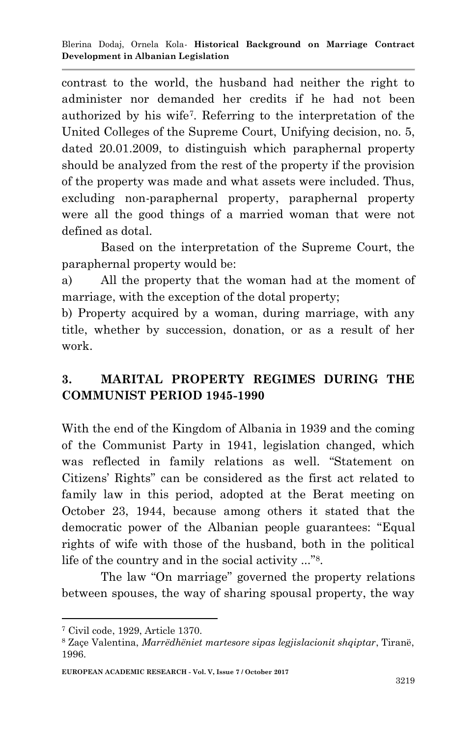contrast to the world, the husband had neither the right to administer nor demanded her credits if he had not been authorized by his wife<sup>7</sup> . Referring to the interpretation of the United Colleges of the Supreme Court, Unifying decision, no. 5, dated 20.01.2009, to distinguish which paraphernal property should be analyzed from the rest of the property if the provision of the property was made and what assets were included. Thus, excluding non-paraphernal property, paraphernal property were all the good things of a married woman that were not defined as dotal.

Based on the interpretation of the Supreme Court, the paraphernal property would be:

a) All the property that the woman had at the moment of marriage, with the exception of the dotal property;

b) Property acquired by a woman, during marriage, with any title, whether by succession, donation, or as a result of her work.

## **3. MARITAL PROPERTY REGIMES DURING THE COMMUNIST PERIOD 1945-1990**

With the end of the Kingdom of Albania in 1939 and the coming of the Communist Party in 1941, legislation changed, which was reflected in family relations as well. "Statement on Citizens" Rights" can be considered as the first act related to family law in this period, adopted at the Berat meeting on October 23, 1944, because among others it stated that the democratic power of the Albanian people guarantees: "Equal rights of wife with those of the husband, both in the political life of the country and in the social activity ..."<sup>8</sup> .

The law "On marriage" governed the property relations between spouses, the way of sharing spousal property, the way

<sup>7</sup> Civil code, 1929, Article 1370.

<sup>8</sup> Zaçe Valentina, *Marrëdhëniet martesore sipas legjislacionit shqiptar*, Tiranё, 1996.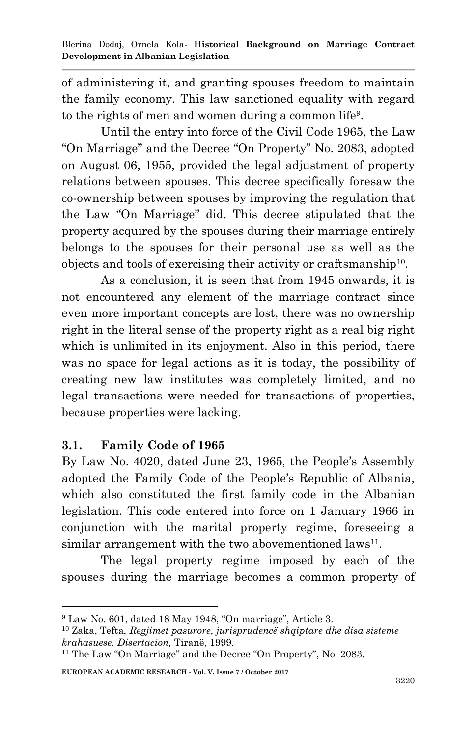of administering it, and granting spouses freedom to maintain the family economy. This law sanctioned equality with regard to the rights of men and women during a common life<sup>9</sup>.

Until the entry into force of the Civil Code 1965, the Law "On Marriage" and the Decree "On Property" No. 2083, adopted on August 06, 1955, provided the legal adjustment of property relations between spouses. This decree specifically foresaw the co-ownership between spouses by improving the regulation that the Law "On Marriage" did. This decree stipulated that the property acquired by the spouses during their marriage entirely belongs to the spouses for their personal use as well as the objects and tools of exercising their activity or craftsmanship<sup>10</sup> .

As a conclusion, it is seen that from 1945 onwards, it is not encountered any element of the marriage contract since even more important concepts are lost, there was no ownership right in the literal sense of the property right as a real big right which is unlimited in its enjoyment. Also in this period, there was no space for legal actions as it is today, the possibility of creating new law institutes was completely limited, and no legal transactions were needed for transactions of properties, because properties were lacking.

### **3.1. Family Code of 1965**

1

By Law No. 4020, dated June 23, 1965, the People's Assembly adopted the Family Code of the People"s Republic of Albania, which also constituted the first family code in the Albanian legislation. This code entered into force on 1 January 1966 in conjunction with the marital property regime, foreseeing a similar arrangement with the two abovementioned laws<sup>11</sup>.

The legal property regime imposed by each of the spouses during the marriage becomes a common property of

<sup>9</sup> Law No. 601, dated 18 May 1948, "On marriage", Article 3.

<sup>10</sup> Zaka, Tefta, *Regjimet pasurore, jurisprudencё shqiptare dhe disa sisteme krahasuese. Disertacion,* Tiranё, 1999.

<sup>11</sup> The Law "On Marriage" and the Decree "On Property", No. 2083.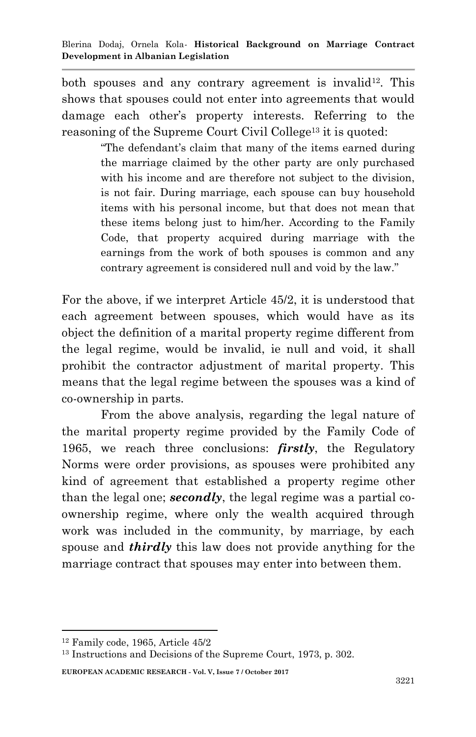both spouses and any contrary agreement is invalid<sup>12</sup>. This shows that spouses could not enter into agreements that would damage each other"s property interests. Referring to the reasoning of the Supreme Court Civil College<sup>13</sup> it is quoted:

> "The defendant's claim that many of the items earned during" the marriage claimed by the other party are only purchased with his income and are therefore not subject to the division, is not fair. During marriage, each spouse can buy household items with his personal income, but that does not mean that these items belong just to him/her. According to the Family Code, that property acquired during marriage with the earnings from the work of both spouses is common and any contrary agreement is considered null and void by the law."

For the above, if we interpret Article 45/2, it is understood that each agreement between spouses, which would have as its object the definition of a marital property regime different from the legal regime, would be invalid, ie null and void, it shall prohibit the contractor adjustment of marital property. This means that the legal regime between the spouses was a kind of co-ownership in parts.

From the above analysis, regarding the legal nature of the marital property regime provided by the Family Code of 1965, we reach three conclusions: *firstly*, the Regulatory Norms were order provisions, as spouses were prohibited any kind of agreement that established a property regime other than the legal one; *secondly*, the legal regime was a partial coownership regime, where only the wealth acquired through work was included in the community, by marriage, by each spouse and *thirdly* this law does not provide anything for the marriage contract that spouses may enter into between them.

1

**EUROPEAN ACADEMIC RESEARCH - Vol. V, Issue 7 / October 2017**

<sup>12</sup> Family code, 1965, Article 45/2

<sup>13</sup> Instructions and Decisions of the Supreme Court, 1973, p. 302.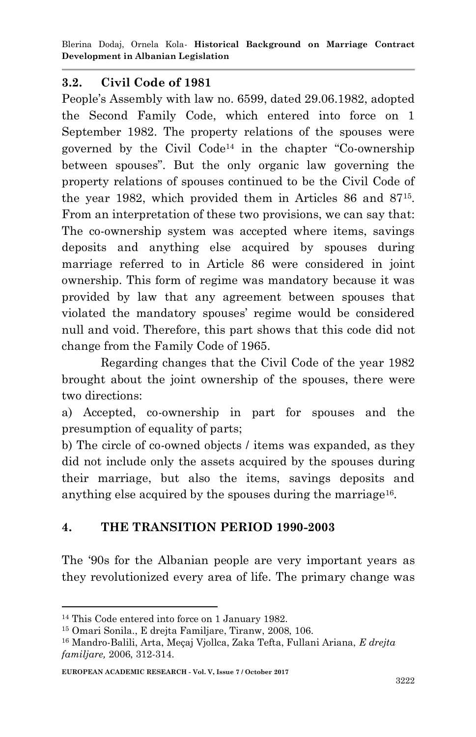Blerina Dodaj, Ornela Kola*-* **Historical Background on Marriage Contract Development in Albanian Legislation**

#### **3.2. Civil Code of 1981**

People's Assembly with law no. 6599, dated 29.06.1982, adopted the Second Family Code, which entered into force on 1 September 1982. The property relations of the spouses were governed by the Civil Code<sup>14</sup> in the chapter "Co-ownership between spouses". But the only organic law governing the property relations of spouses continued to be the Civil Code of the year 1982, which provided them in Articles 86 and 87<sup>15</sup> . From an interpretation of these two provisions, we can say that: The co-ownership system was accepted where items, savings deposits and anything else acquired by spouses during marriage referred to in Article 86 were considered in joint ownership. This form of regime was mandatory because it was provided by law that any agreement between spouses that violated the mandatory spouses" regime would be considered null and void. Therefore, this part shows that this code did not change from the Family Code of 1965.

Regarding changes that the Civil Code of the year 1982 brought about the joint ownership of the spouses, there were two directions:

a) Accepted, co-ownership in part for spouses and the presumption of equality of parts;

b) The circle of co-owned objects / items was expanded, as they did not include only the assets acquired by the spouses during their marriage, but also the items, savings deposits and anything else acquired by the spouses during the marriage<sup>16</sup>.

### **4. THE TRANSITION PERIOD 1990-2003**

The "90s for the Albanian people are very important years as they revolutionized every area of life. The primary change was

<sup>14</sup> This Code entered into force on 1 January 1982.

<sup>15</sup> Omari Sonila., E drejta Familjare, Tiranw, 2008, 106.

<sup>16</sup> Mandro-Balili, Arta, Meçaj Vjollca, Zaka Tefta, Fullani Ariana, *E drejta familjare,* 2006, 312-314.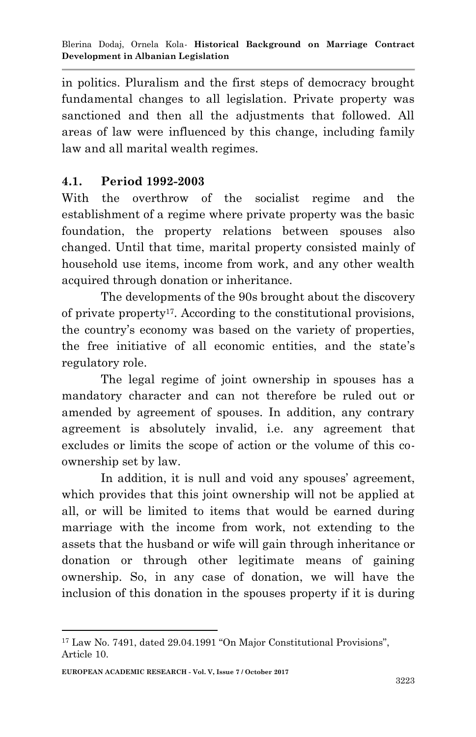in politics. Pluralism and the first steps of democracy brought fundamental changes to all legislation. Private property was sanctioned and then all the adjustments that followed. All areas of law were influenced by this change, including family law and all marital wealth regimes.

## **4.1. Period 1992-2003**

With the overthrow of the socialist regime and the establishment of a regime where private property was the basic foundation, the property relations between spouses also changed. Until that time, marital property consisted mainly of household use items, income from work, and any other wealth acquired through donation or inheritance.

The developments of the 90s brought about the discovery of private property<sup>17</sup> . According to the constitutional provisions, the country"s economy was based on the variety of properties, the free initiative of all economic entities, and the state"s regulatory role.

The legal regime of joint ownership in spouses has a mandatory character and can not therefore be ruled out or amended by agreement of spouses. In addition, any contrary agreement is absolutely invalid, i.e. any agreement that excludes or limits the scope of action or the volume of this coownership set by law.

In addition, it is null and void any spouses' agreement, which provides that this joint ownership will not be applied at all, or will be limited to items that would be earned during marriage with the income from work, not extending to the assets that the husband or wife will gain through inheritance or donation or through other legitimate means of gaining ownership. So, in any case of donation, we will have the inclusion of this donation in the spouses property if it is during

<sup>1</sup> <sup>17</sup> Law No. 7491, dated 29.04.1991 "On Major Constitutional Provisions", Article 10.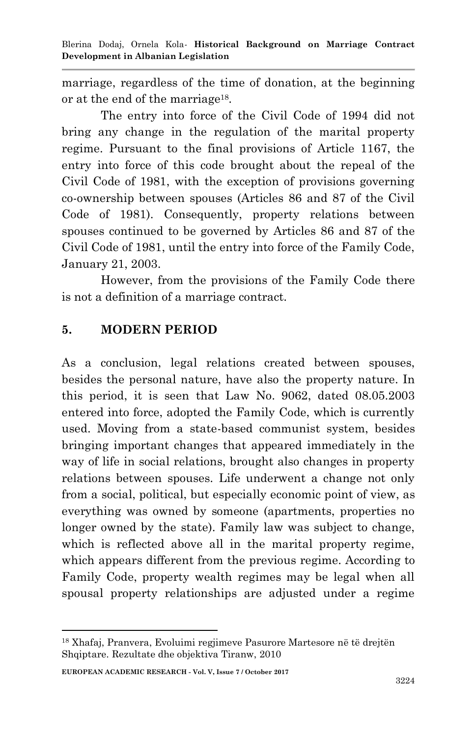Blerina Dodaj, Ornela Kola*-* **Historical Background on Marriage Contract Development in Albanian Legislation**

marriage, regardless of the time of donation, at the beginning or at the end of the marriage<sup>18</sup>.

The entry into force of the Civil Code of 1994 did not bring any change in the regulation of the marital property regime. Pursuant to the final provisions of Article 1167, the entry into force of this code brought about the repeal of the Civil Code of 1981, with the exception of provisions governing co-ownership between spouses (Articles 86 and 87 of the Civil Code of 1981). Consequently, property relations between spouses continued to be governed by Articles 86 and 87 of the Civil Code of 1981, until the entry into force of the Family Code, January 21, 2003.

However, from the provisions of the Family Code there is not a definition of a marriage contract.

#### **5. MODERN PERIOD**

As a conclusion, legal relations created between spouses, besides the personal nature, have also the property nature. In this period, it is seen that Law No. 9062, dated 08.05.2003 entered into force, adopted the Family Code, which is currently used. Moving from a state-based communist system, besides bringing important changes that appeared immediately in the way of life in social relations, brought also changes in property relations between spouses. Life underwent a change not only from a social, political, but especially economic point of view, as everything was owned by someone (apartments, properties no longer owned by the state). Family law was subject to change, which is reflected above all in the marital property regime, which appears different from the previous regime. According to Family Code, property wealth regimes may be legal when all spousal property relationships are adjusted under a regime

<sup>18</sup> Xhafaj, Pranvera, Evoluimi regjimeve Pasurore Martesore në të drejtën Shqiptare. Rezultate dhe objektiva Tiranw, 2010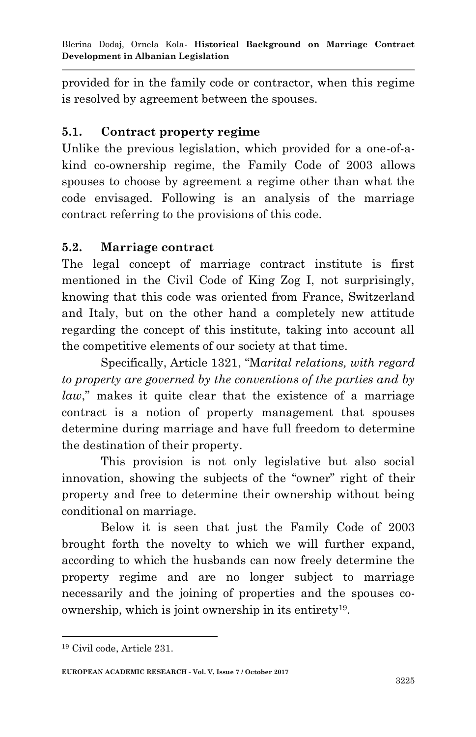provided for in the family code or contractor, when this regime is resolved by agreement between the spouses.

#### **5.1. Contract property regime**

Unlike the previous legislation, which provided for a one-of-akind co-ownership regime, the Family Code of 2003 allows spouses to choose by agreement a regime other than what the code envisaged. Following is an analysis of the marriage contract referring to the provisions of this code.

#### **5.2. Marriage contract**

The legal concept of marriage contract institute is first mentioned in the Civil Code of King Zog I, not surprisingly, knowing that this code was oriented from France, Switzerland and Italy, but on the other hand a completely new attitude regarding the concept of this institute, taking into account all the competitive elements of our society at that time.

Specifically, Article 1321, "M*arital relations, with regard to property are governed by the conventions of the parties and by law*," makes it quite clear that the existence of a marriage contract is a notion of property management that spouses determine during marriage and have full freedom to determine the destination of their property.

This provision is not only legislative but also social innovation, showing the subjects of the "owner" right of their property and free to determine their ownership without being conditional on marriage.

Below it is seen that just the Family Code of 2003 brought forth the novelty to which we will further expand, according to which the husbands can now freely determine the property regime and are no longer subject to marriage necessarily and the joining of properties and the spouses coownership, which is joint ownership in its entirety<sup>19</sup>.

<sup>19</sup> Civil code, Article 231.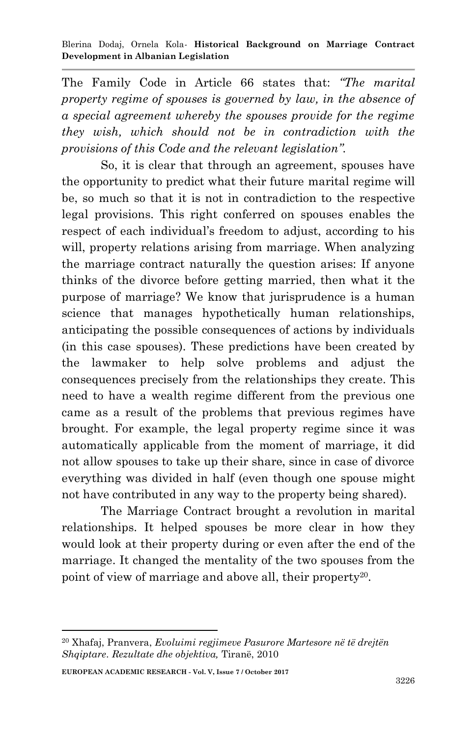The Family Code in Article 66 states that: *"The marital property regime of spouses is governed by law, in the absence of a special agreement whereby the spouses provide for the regime they wish, which should not be in contradiction with the provisions of this Code and the relevant legislation".*

So, it is clear that through an agreement, spouses have the opportunity to predict what their future marital regime will be, so much so that it is not in contradiction to the respective legal provisions. This right conferred on spouses enables the respect of each individual's freedom to adjust, according to his will, property relations arising from marriage. When analyzing the marriage contract naturally the question arises: If anyone thinks of the divorce before getting married, then what it the purpose of marriage? We know that jurisprudence is a human science that manages hypothetically human relationships, anticipating the possible consequences of actions by individuals (in this case spouses). These predictions have been created by the lawmaker to help solve problems and adjust the consequences precisely from the relationships they create. This need to have a wealth regime different from the previous one came as a result of the problems that previous regimes have brought. For example, the legal property regime since it was automatically applicable from the moment of marriage, it did not allow spouses to take up their share, since in case of divorce everything was divided in half (even though one spouse might not have contributed in any way to the property being shared).

The Marriage Contract brought a revolution in marital relationships. It helped spouses be more clear in how they would look at their property during or even after the end of the marriage. It changed the mentality of the two spouses from the point of view of marriage and above all, their property<sup>20</sup>.

<sup>20</sup> Xhafaj, Pranvera, *Evoluimi regjimeve Pasurore Martesore në të drejtën Shqiptare*. *Rezultate dhe objektiva,* Tiranë, 2010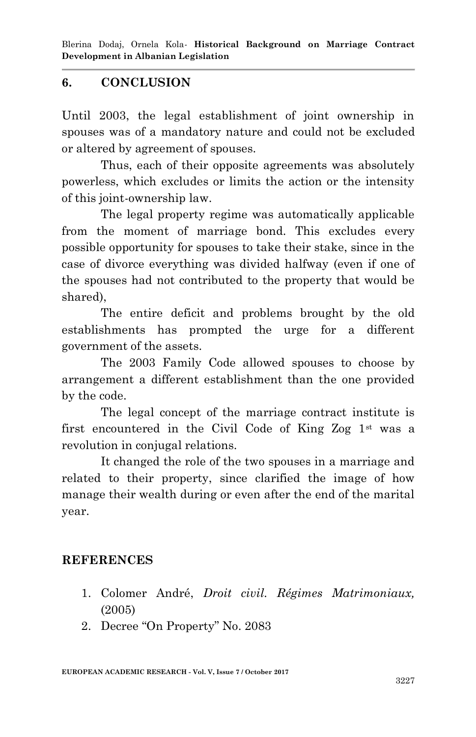Blerina Dodaj, Ornela Kola*-* **Historical Background on Marriage Contract Development in Albanian Legislation**

#### **6. CONCLUSION**

Until 2003, the legal establishment of joint ownership in spouses was of a mandatory nature and could not be excluded or altered by agreement of spouses.

Thus, each of their opposite agreements was absolutely powerless, which excludes or limits the action or the intensity of this joint-ownership law.

The legal property regime was automatically applicable from the moment of marriage bond. This excludes every possible opportunity for spouses to take their stake, since in the case of divorce everything was divided halfway (even if one of the spouses had not contributed to the property that would be shared),

The entire deficit and problems brought by the old establishments has prompted the urge for a different government of the assets.

The 2003 Family Code allowed spouses to choose by arrangement a different establishment than the one provided by the code.

The legal concept of the marriage contract institute is first encountered in the Civil Code of King Zog  $1<sup>st</sup>$  was a revolution in conjugal relations.

It changed the role of the two spouses in a marriage and related to their property, since clarified the image of how manage their wealth during or even after the end of the marital year.

#### **REFERENCES**

- 1. Colomer André, *Droit civil. Régimes Matrimoniaux,*  (2005)
- 2. Decree "On Property" No. 2083